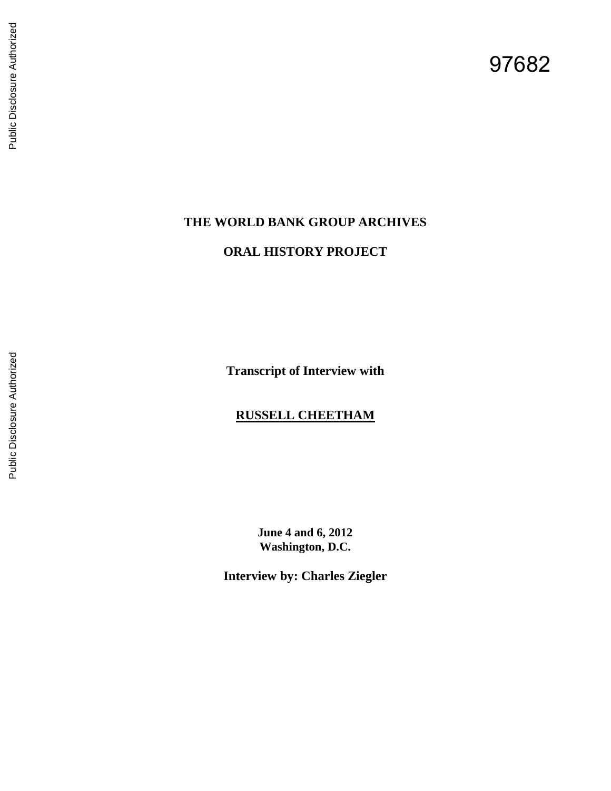# 97682

# **THE WORLD BANK GROUP ARCHIVES**

# **ORAL HISTORY PROJECT**

**Transcript of Interview with**

# **RUSSELL CHEETHAM**

**June 4 and 6, 2012 Washington, D.C.**

**Interview by: Charles Ziegler**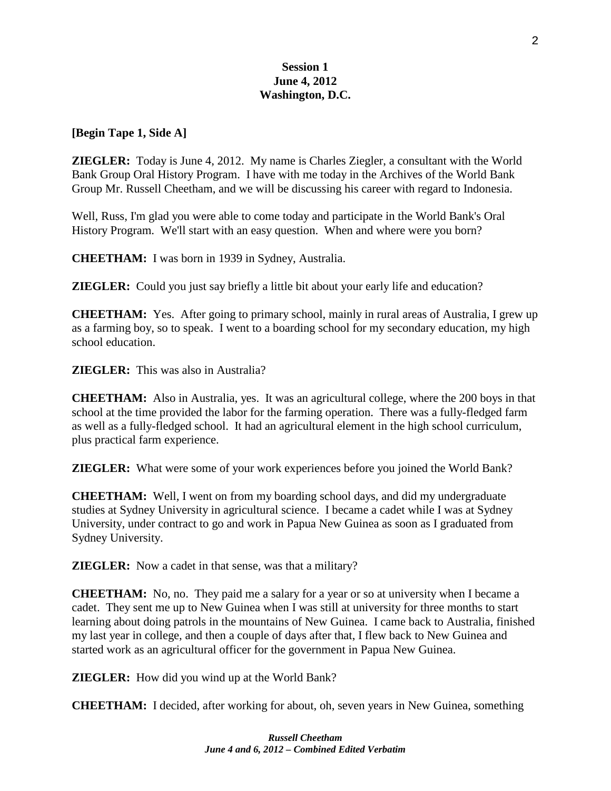# **Session 1 June 4, 2012 Washington, D.C.**

#### **[Begin Tape 1, Side A]**

**ZIEGLER:** Today is June 4, 2012. My name is Charles Ziegler, a consultant with the World Bank Group Oral History Program. I have with me today in the Archives of the World Bank Group Mr. Russell Cheetham, and we will be discussing his career with regard to Indonesia.

Well, Russ, I'm glad you were able to come today and participate in the World Bank's Oral History Program. We'll start with an easy question. When and where were you born?

**CHEETHAM:** I was born in 1939 in Sydney, Australia.

**ZIEGLER:** Could you just say briefly a little bit about your early life and education?

**CHEETHAM:** Yes. After going to primary school, mainly in rural areas of Australia, I grew up as a farming boy, so to speak. I went to a boarding school for my secondary education, my high school education.

**ZIEGLER:** This was also in Australia?

**CHEETHAM:** Also in Australia, yes. It was an agricultural college, where the 200 boys in that school at the time provided the labor for the farming operation. There was a fully-fledged farm as well as a fully-fledged school. It had an agricultural element in the high school curriculum, plus practical farm experience.

**ZIEGLER:** What were some of your work experiences before you joined the World Bank?

**CHEETHAM:** Well, I went on from my boarding school days, and did my undergraduate studies at Sydney University in agricultural science. I became a cadet while I was at Sydney University, under contract to go and work in Papua New Guinea as soon as I graduated from Sydney University.

**ZIEGLER:** Now a cadet in that sense, was that a military?

**CHEETHAM:** No, no. They paid me a salary for a year or so at university when I became a cadet. They sent me up to New Guinea when I was still at university for three months to start learning about doing patrols in the mountains of New Guinea. I came back to Australia, finished my last year in college, and then a couple of days after that, I flew back to New Guinea and started work as an agricultural officer for the government in Papua New Guinea.

**ZIEGLER:** How did you wind up at the World Bank?

**CHEETHAM:** I decided, after working for about, oh, seven years in New Guinea, something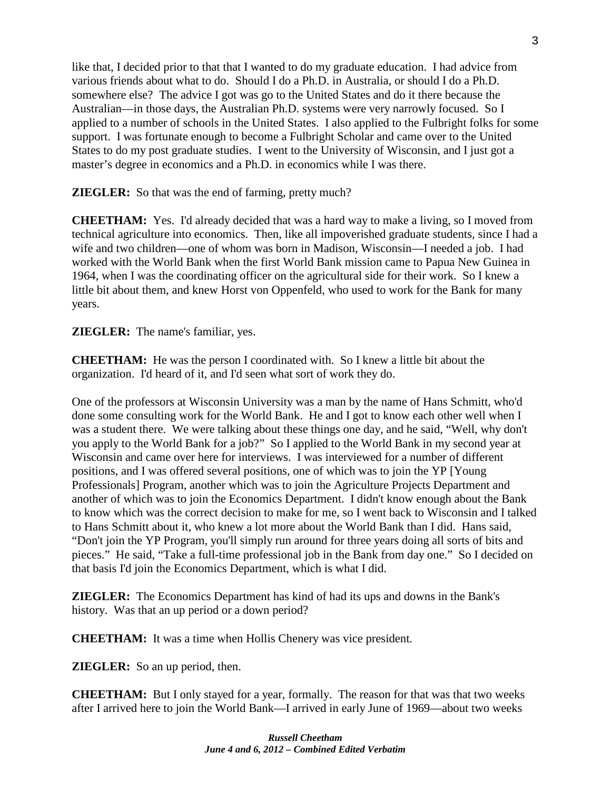like that, I decided prior to that that I wanted to do my graduate education. I had advice from various friends about what to do. Should I do a Ph.D. in Australia, or should I do a Ph.D. somewhere else? The advice I got was go to the United States and do it there because the Australian—in those days, the Australian Ph.D. systems were very narrowly focused. So I applied to a number of schools in the United States. I also applied to the Fulbright folks for some support. I was fortunate enough to become a Fulbright Scholar and came over to the United States to do my post graduate studies. I went to the University of Wisconsin, and I just got a master's degree in economics and a Ph.D. in economics while I was there.

**ZIEGLER:** So that was the end of farming, pretty much?

**CHEETHAM:** Yes. I'd already decided that was a hard way to make a living, so I moved from technical agriculture into economics. Then, like all impoverished graduate students, since I had a wife and two children—one of whom was born in Madison, Wisconsin—I needed a job. I had worked with the World Bank when the first World Bank mission came to Papua New Guinea in 1964, when I was the coordinating officer on the agricultural side for their work. So I knew a little bit about them, and knew Horst von Oppenfeld, who used to work for the Bank for many years.

**ZIEGLER:** The name's familiar, yes.

**CHEETHAM:** He was the person I coordinated with. So I knew a little bit about the organization. I'd heard of it, and I'd seen what sort of work they do.

One of the professors at Wisconsin University was a man by the name of Hans Schmitt, who'd done some consulting work for the World Bank. He and I got to know each other well when I was a student there. We were talking about these things one day, and he said, "Well, why don't you apply to the World Bank for a job?" So I applied to the World Bank in my second year at Wisconsin and came over here for interviews. I was interviewed for a number of different positions, and I was offered several positions, one of which was to join the YP [Young Professionals] Program, another which was to join the Agriculture Projects Department and another of which was to join the Economics Department. I didn't know enough about the Bank to know which was the correct decision to make for me, so I went back to Wisconsin and I talked to Hans Schmitt about it, who knew a lot more about the World Bank than I did. Hans said, "Don't join the YP Program, you'll simply run around for three years doing all sorts of bits and pieces." He said, "Take a full-time professional job in the Bank from day one." So I decided on that basis I'd join the Economics Department, which is what I did.

**ZIEGLER:** The Economics Department has kind of had its ups and downs in the Bank's history. Was that an up period or a down period?

**CHEETHAM:** It was a time when Hollis Chenery was vice president.

**ZIEGLER:** So an up period, then.

**CHEETHAM:** But I only stayed for a year, formally. The reason for that was that two weeks after I arrived here to join the World Bank—I arrived in early June of 1969—about two weeks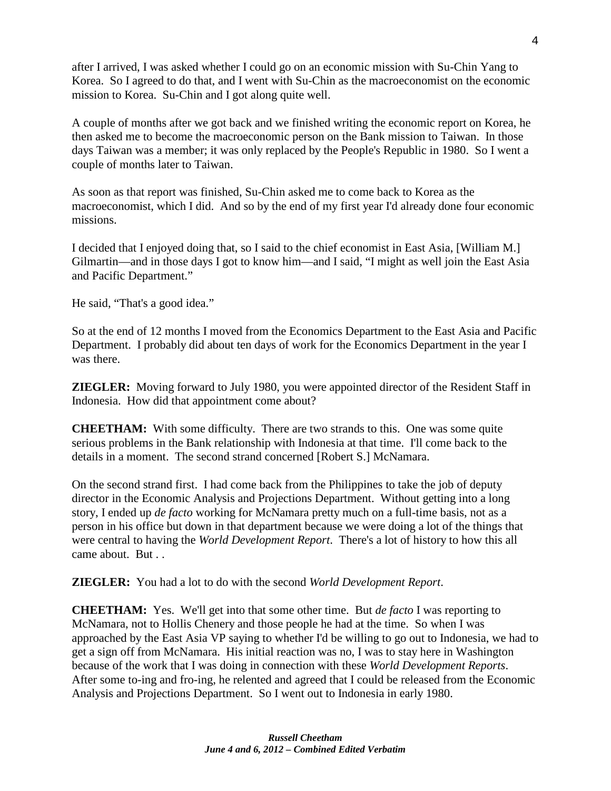after I arrived, I was asked whether I could go on an economic mission with Su-Chin Yang to Korea. So I agreed to do that, and I went with Su-Chin as the macroeconomist on the economic mission to Korea. Su-Chin and I got along quite well.

A couple of months after we got back and we finished writing the economic report on Korea, he then asked me to become the macroeconomic person on the Bank mission to Taiwan. In those days Taiwan was a member; it was only replaced by the People's Republic in 1980. So I went a couple of months later to Taiwan.

As soon as that report was finished, Su-Chin asked me to come back to Korea as the macroeconomist, which I did. And so by the end of my first year I'd already done four economic missions.

I decided that I enjoyed doing that, so I said to the chief economist in East Asia, [William M.] Gilmartin—and in those days I got to know him—and I said, "I might as well join the East Asia and Pacific Department."

He said, "That's a good idea."

So at the end of 12 months I moved from the Economics Department to the East Asia and Pacific Department. I probably did about ten days of work for the Economics Department in the year I was there.

**ZIEGLER:** Moving forward to July 1980, you were appointed director of the Resident Staff in Indonesia. How did that appointment come about?

**CHEETHAM:** With some difficulty. There are two strands to this. One was some quite serious problems in the Bank relationship with Indonesia at that time. I'll come back to the details in a moment. The second strand concerned [Robert S.] McNamara.

On the second strand first. I had come back from the Philippines to take the job of deputy director in the Economic Analysis and Projections Department. Without getting into a long story, I ended up *de facto* working for McNamara pretty much on a full-time basis, not as a person in his office but down in that department because we were doing a lot of the things that were central to having the *World Development Report*. There's a lot of history to how this all came about. But . .

**ZIEGLER:** You had a lot to do with the second *World Development Report*.

**CHEETHAM:** Yes. We'll get into that some other time. But *de facto* I was reporting to McNamara, not to Hollis Chenery and those people he had at the time. So when I was approached by the East Asia VP saying to whether I'd be willing to go out to Indonesia, we had to get a sign off from McNamara. His initial reaction was no, I was to stay here in Washington because of the work that I was doing in connection with these *World Development Reports*. After some to-ing and fro-ing, he relented and agreed that I could be released from the Economic Analysis and Projections Department. So I went out to Indonesia in early 1980.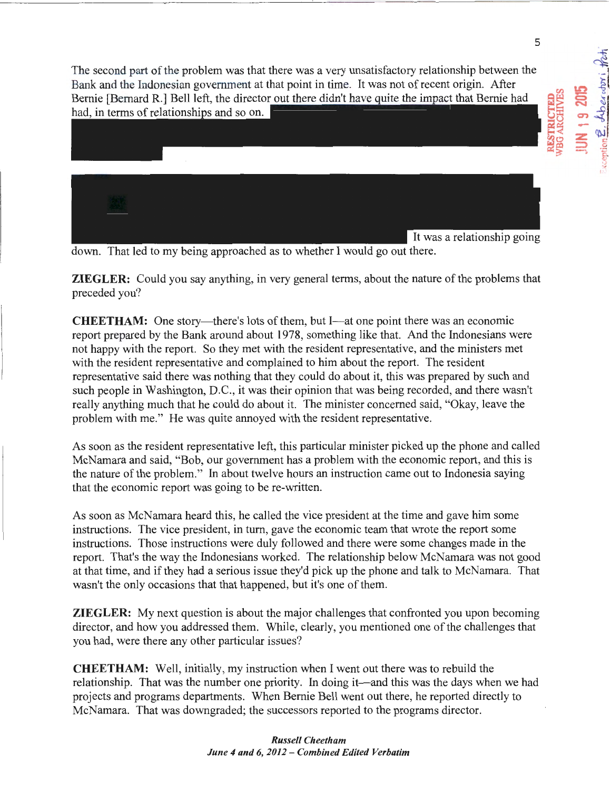

5

down. That led to my being approached as to whether I would go out there.

**ZIEGLER:** Could you say anything, in very general terms, about the nature of the problems that preceded you?

**CHEETHAM:** One story—there's lots of them, but I—at one point there was an economic report prepared by the Bank around about 1978, something like that. And the Indonesians were not happy with the report. So they met with the resident representative, and the ministers met with the resident representative and complained to him about the report. The resident representative said there was nothing that they could do about it, this was prepared by such and such people in Washington, D.C., it was their opinion that was being recorded, and there wasn't really anything much that he could do about it. The minister concerned said, "Okay, leave the problem with me." He was quite annoyed with the resident representative.

As soon as the resident representative left, this particular minister picked up the phone and called McNamara and said, "Bob, our government has a problem with the economic report, and this is the nature of the problem." In about twelve hours an instruction came out to Indonesia saying that the economic report was going to be re-written.

As soon as McNamara heard this, he called the vice president at the time and gave him some instructions. The vice president, in tum, gave the economic team that wrote the report some instructions. Those instructions were duly followed and there were some changes made in the report. That's the way the Indonesians worked. The relationship below McNamara was not good at that time, and if they had a serious issue they'd pick up the phone and talk to McNamara. That wasn't the only occasions that that happened, but it's one of them.

**ZIEGLER:** My next question is about the major challenges that confronted you upon becoming director, and how you addressed them. While, clearly, you mentioned one of the challenges that you had, were there any other particular issues?

**CHEETHAM:** Well, initially, my instruction when I went out there was to rebuild the relationship. That was the number one priority. In doing it—and this was the days when we had projects and programs departments. When Bernie Bell went out there, he reported directly to McNamara. That was downgraded; the successors reported to the programs director.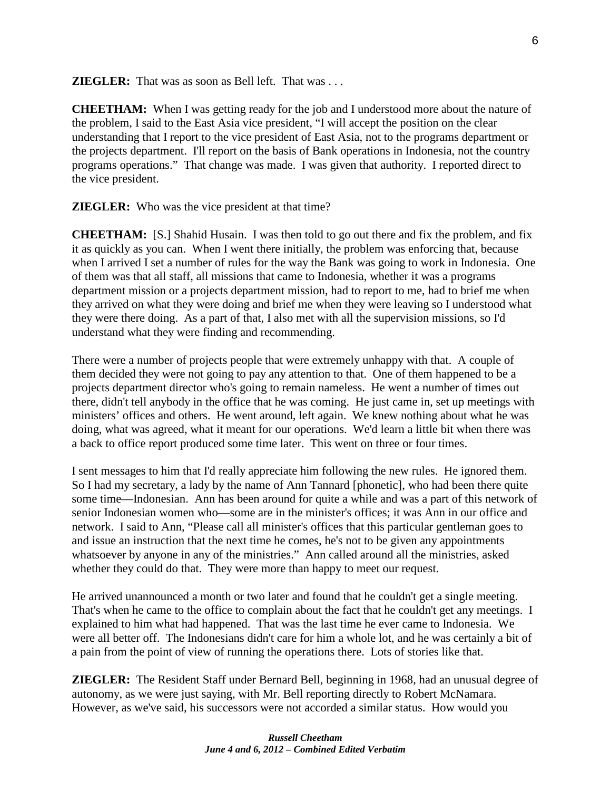**ZIEGLER:** That was as soon as Bell left. That was . . .

**CHEETHAM:** When I was getting ready for the job and I understood more about the nature of the problem, I said to the East Asia vice president, "I will accept the position on the clear understanding that I report to the vice president of East Asia, not to the programs department or the projects department. I'll report on the basis of Bank operations in Indonesia, not the country programs operations." That change was made. I was given that authority. I reported direct to the vice president.

**ZIEGLER:** Who was the vice president at that time?

**CHEETHAM:** [S.] Shahid Husain. I was then told to go out there and fix the problem, and fix it as quickly as you can. When I went there initially, the problem was enforcing that, because when I arrived I set a number of rules for the way the Bank was going to work in Indonesia. One of them was that all staff, all missions that came to Indonesia, whether it was a programs department mission or a projects department mission, had to report to me, had to brief me when they arrived on what they were doing and brief me when they were leaving so I understood what they were there doing. As a part of that, I also met with all the supervision missions, so I'd understand what they were finding and recommending.

There were a number of projects people that were extremely unhappy with that. A couple of them decided they were not going to pay any attention to that. One of them happened to be a projects department director who's going to remain nameless. He went a number of times out there, didn't tell anybody in the office that he was coming. He just came in, set up meetings with ministers' offices and others. He went around, left again. We knew nothing about what he was doing, what was agreed, what it meant for our operations. We'd learn a little bit when there was a back to office report produced some time later. This went on three or four times.

I sent messages to him that I'd really appreciate him following the new rules. He ignored them. So I had my secretary, a lady by the name of Ann Tannard [phonetic], who had been there quite some time—Indonesian. Ann has been around for quite a while and was a part of this network of senior Indonesian women who—some are in the minister's offices; it was Ann in our office and network. I said to Ann, "Please call all minister's offices that this particular gentleman goes to and issue an instruction that the next time he comes, he's not to be given any appointments whatsoever by anyone in any of the ministries." Ann called around all the ministries, asked whether they could do that. They were more than happy to meet our request.

He arrived unannounced a month or two later and found that he couldn't get a single meeting. That's when he came to the office to complain about the fact that he couldn't get any meetings. I explained to him what had happened. That was the last time he ever came to Indonesia. We were all better off. The Indonesians didn't care for him a whole lot, and he was certainly a bit of a pain from the point of view of running the operations there. Lots of stories like that.

**ZIEGLER:** The Resident Staff under Bernard Bell, beginning in 1968, had an unusual degree of autonomy, as we were just saying, with Mr. Bell reporting directly to Robert McNamara. However, as we've said, his successors were not accorded a similar status. How would you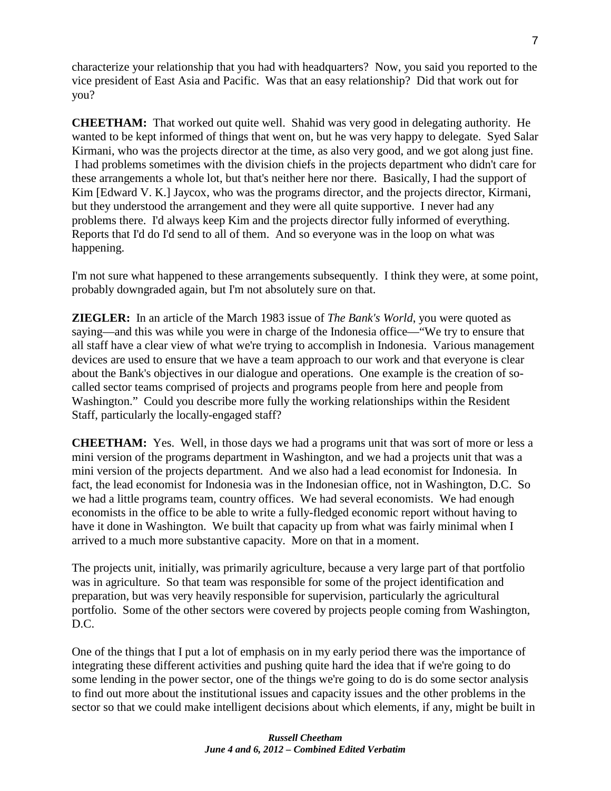characterize your relationship that you had with headquarters? Now, you said you reported to the vice president of East Asia and Pacific. Was that an easy relationship? Did that work out for you?

**CHEETHAM:** That worked out quite well. Shahid was very good in delegating authority. He wanted to be kept informed of things that went on, but he was very happy to delegate. Syed Salar Kirmani, who was the projects director at the time, as also very good, and we got along just fine. I had problems sometimes with the division chiefs in the projects department who didn't care for these arrangements a whole lot, but that's neither here nor there. Basically, I had the support of Kim [Edward V. K.] Jaycox, who was the programs director, and the projects director, Kirmani, but they understood the arrangement and they were all quite supportive. I never had any problems there. I'd always keep Kim and the projects director fully informed of everything. Reports that I'd do I'd send to all of them. And so everyone was in the loop on what was happening.

I'm not sure what happened to these arrangements subsequently. I think they were, at some point, probably downgraded again, but I'm not absolutely sure on that.

**ZIEGLER:** In an article of the March 1983 issue of *The Bank's World*, you were quoted as saying—and this was while you were in charge of the Indonesia office—"We try to ensure that all staff have a clear view of what we're trying to accomplish in Indonesia. Various management devices are used to ensure that we have a team approach to our work and that everyone is clear about the Bank's objectives in our dialogue and operations. One example is the creation of socalled sector teams comprised of projects and programs people from here and people from Washington." Could you describe more fully the working relationships within the Resident Staff, particularly the locally-engaged staff?

**CHEETHAM:** Yes. Well, in those days we had a programs unit that was sort of more or less a mini version of the programs department in Washington, and we had a projects unit that was a mini version of the projects department. And we also had a lead economist for Indonesia. In fact, the lead economist for Indonesia was in the Indonesian office, not in Washington, D.C. So we had a little programs team, country offices. We had several economists. We had enough economists in the office to be able to write a fully-fledged economic report without having to have it done in Washington. We built that capacity up from what was fairly minimal when I arrived to a much more substantive capacity. More on that in a moment.

The projects unit, initially, was primarily agriculture, because a very large part of that portfolio was in agriculture. So that team was responsible for some of the project identification and preparation, but was very heavily responsible for supervision, particularly the agricultural portfolio. Some of the other sectors were covered by projects people coming from Washington, D.C.

One of the things that I put a lot of emphasis on in my early period there was the importance of integrating these different activities and pushing quite hard the idea that if we're going to do some lending in the power sector, one of the things we're going to do is do some sector analysis to find out more about the institutional issues and capacity issues and the other problems in the sector so that we could make intelligent decisions about which elements, if any, might be built in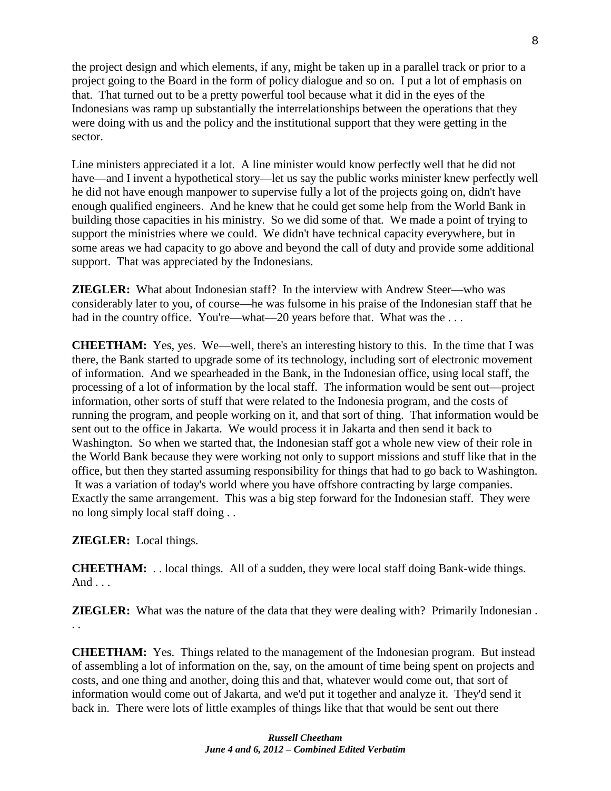the project design and which elements, if any, might be taken up in a parallel track or prior to a project going to the Board in the form of policy dialogue and so on. I put a lot of emphasis on that. That turned out to be a pretty powerful tool because what it did in the eyes of the Indonesians was ramp up substantially the interrelationships between the operations that they were doing with us and the policy and the institutional support that they were getting in the sector.

Line ministers appreciated it a lot. A line minister would know perfectly well that he did not have—and I invent a hypothetical story—let us say the public works minister knew perfectly well he did not have enough manpower to supervise fully a lot of the projects going on, didn't have enough qualified engineers. And he knew that he could get some help from the World Bank in building those capacities in his ministry. So we did some of that. We made a point of trying to support the ministries where we could. We didn't have technical capacity everywhere, but in some areas we had capacity to go above and beyond the call of duty and provide some additional support. That was appreciated by the Indonesians.

**ZIEGLER:** What about Indonesian staff? In the interview with Andrew Steer—who was considerably later to you, of course—he was fulsome in his praise of the Indonesian staff that he had in the country office. You're—what—20 years before that. What was the ...

**CHEETHAM:** Yes, yes. We—well, there's an interesting history to this. In the time that I was there, the Bank started to upgrade some of its technology, including sort of electronic movement of information. And we spearheaded in the Bank, in the Indonesian office, using local staff, the processing of a lot of information by the local staff. The information would be sent out—project information, other sorts of stuff that were related to the Indonesia program, and the costs of running the program, and people working on it, and that sort of thing. That information would be sent out to the office in Jakarta. We would process it in Jakarta and then send it back to Washington. So when we started that, the Indonesian staff got a whole new view of their role in the World Bank because they were working not only to support missions and stuff like that in the office, but then they started assuming responsibility for things that had to go back to Washington. It was a variation of today's world where you have offshore contracting by large companies. Exactly the same arrangement. This was a big step forward for the Indonesian staff. They were no long simply local staff doing . .

## **ZIEGLER:** Local things.

**CHEETHAM:** . . local things. All of a sudden, they were local staff doing Bank-wide things. And . . .

**ZIEGLER:** What was the nature of the data that they were dealing with? Primarily Indonesian. . .

**CHEETHAM:** Yes. Things related to the management of the Indonesian program. But instead of assembling a lot of information on the, say, on the amount of time being spent on projects and costs, and one thing and another, doing this and that, whatever would come out, that sort of information would come out of Jakarta, and we'd put it together and analyze it. They'd send it back in. There were lots of little examples of things like that that would be sent out there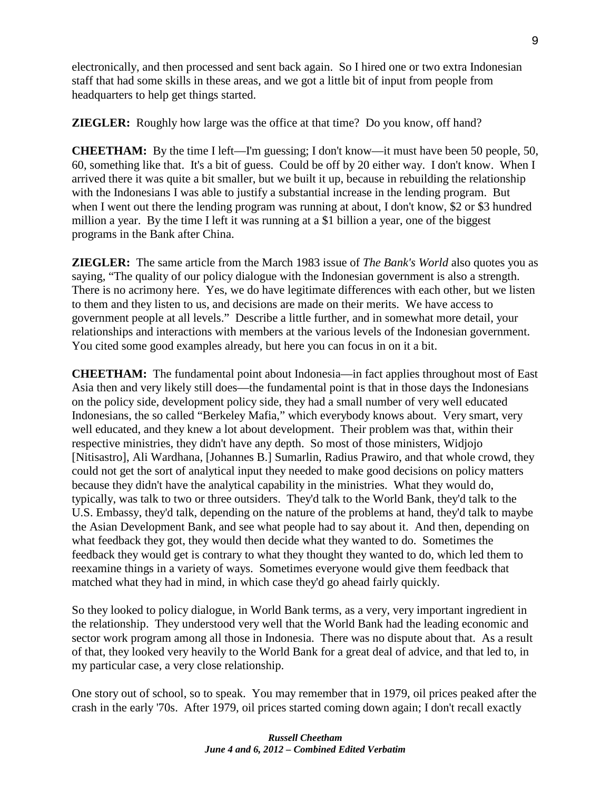electronically, and then processed and sent back again. So I hired one or two extra Indonesian staff that had some skills in these areas, and we got a little bit of input from people from headquarters to help get things started.

**ZIEGLER:** Roughly how large was the office at that time? Do you know, off hand?

**CHEETHAM:** By the time I left—I'm guessing; I don't know—it must have been 50 people, 50, 60, something like that. It's a bit of guess. Could be off by 20 either way. I don't know. When I arrived there it was quite a bit smaller, but we built it up, because in rebuilding the relationship with the Indonesians I was able to justify a substantial increase in the lending program. But when I went out there the lending program was running at about, I don't know, \$2 or \$3 hundred million a year. By the time I left it was running at a \$1 billion a year, one of the biggest programs in the Bank after China.

**ZIEGLER:** The same article from the March 1983 issue of *The Bank's World* also quotes you as saying, "The quality of our policy dialogue with the Indonesian government is also a strength. There is no acrimony here. Yes, we do have legitimate differences with each other, but we listen to them and they listen to us, and decisions are made on their merits. We have access to government people at all levels." Describe a little further, and in somewhat more detail, your relationships and interactions with members at the various levels of the Indonesian government. You cited some good examples already, but here you can focus in on it a bit.

**CHEETHAM:** The fundamental point about Indonesia—in fact applies throughout most of East Asia then and very likely still does—the fundamental point is that in those days the Indonesians on the policy side, development policy side, they had a small number of very well educated Indonesians, the so called "Berkeley Mafia," which everybody knows about. Very smart, very well educated, and they knew a lot about development. Their problem was that, within their respective ministries, they didn't have any depth. So most of those ministers, Widjojo [Nitisastro], Ali Wardhana, [Johannes B.] Sumarlin, Radius Prawiro, and that whole crowd, they could not get the sort of analytical input they needed to make good decisions on policy matters because they didn't have the analytical capability in the ministries. What they would do, typically, was talk to two or three outsiders. They'd talk to the World Bank, they'd talk to the U.S. Embassy, they'd talk, depending on the nature of the problems at hand, they'd talk to maybe the Asian Development Bank, and see what people had to say about it. And then, depending on what feedback they got, they would then decide what they wanted to do. Sometimes the feedback they would get is contrary to what they thought they wanted to do, which led them to reexamine things in a variety of ways. Sometimes everyone would give them feedback that matched what they had in mind, in which case they'd go ahead fairly quickly.

So they looked to policy dialogue, in World Bank terms, as a very, very important ingredient in the relationship. They understood very well that the World Bank had the leading economic and sector work program among all those in Indonesia. There was no dispute about that. As a result of that, they looked very heavily to the World Bank for a great deal of advice, and that led to, in my particular case, a very close relationship.

One story out of school, so to speak. You may remember that in 1979, oil prices peaked after the crash in the early '70s. After 1979, oil prices started coming down again; I don't recall exactly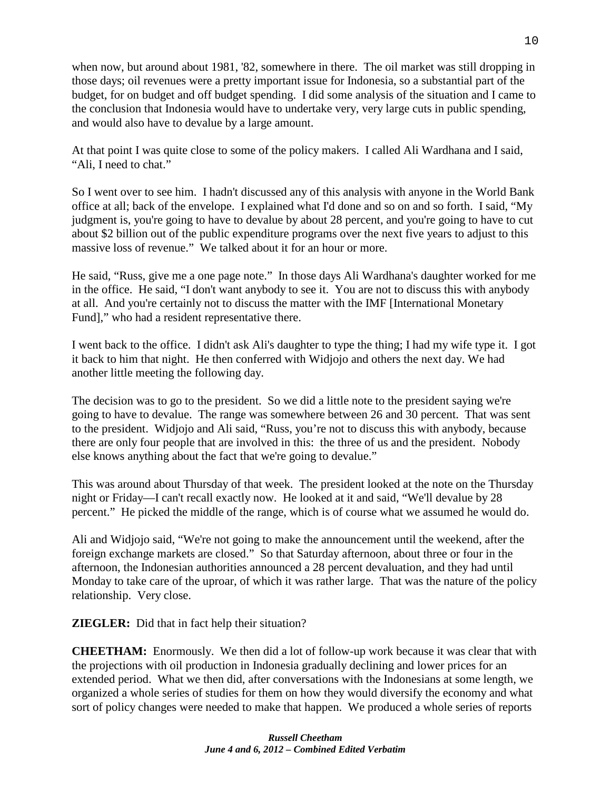when now, but around about 1981, '82, somewhere in there. The oil market was still dropping in those days; oil revenues were a pretty important issue for Indonesia, so a substantial part of the budget, for on budget and off budget spending. I did some analysis of the situation and I came to the conclusion that Indonesia would have to undertake very, very large cuts in public spending, and would also have to devalue by a large amount.

At that point I was quite close to some of the policy makers. I called Ali Wardhana and I said, "Ali, I need to chat."

So I went over to see him. I hadn't discussed any of this analysis with anyone in the World Bank office at all; back of the envelope. I explained what I'd done and so on and so forth. I said, "My judgment is, you're going to have to devalue by about 28 percent, and you're going to have to cut about \$2 billion out of the public expenditure programs over the next five years to adjust to this massive loss of revenue." We talked about it for an hour or more.

He said, "Russ, give me a one page note." In those days Ali Wardhana's daughter worked for me in the office. He said, "I don't want anybody to see it. You are not to discuss this with anybody at all. And you're certainly not to discuss the matter with the IMF [International Monetary Fund]," who had a resident representative there.

I went back to the office. I didn't ask Ali's daughter to type the thing; I had my wife type it. I got it back to him that night. He then conferred with Widjojo and others the next day. We had another little meeting the following day.

The decision was to go to the president. So we did a little note to the president saying we're going to have to devalue. The range was somewhere between 26 and 30 percent. That was sent to the president. Widjojo and Ali said, "Russ, you're not to discuss this with anybody, because there are only four people that are involved in this: the three of us and the president. Nobody else knows anything about the fact that we're going to devalue."

This was around about Thursday of that week. The president looked at the note on the Thursday night or Friday—I can't recall exactly now. He looked at it and said, "We'll devalue by 28 percent." He picked the middle of the range, which is of course what we assumed he would do.

Ali and Widjojo said, "We're not going to make the announcement until the weekend, after the foreign exchange markets are closed." So that Saturday afternoon, about three or four in the afternoon, the Indonesian authorities announced a 28 percent devaluation, and they had until Monday to take care of the uproar, of which it was rather large. That was the nature of the policy relationship. Very close.

**ZIEGLER:** Did that in fact help their situation?

**CHEETHAM:** Enormously. We then did a lot of follow-up work because it was clear that with the projections with oil production in Indonesia gradually declining and lower prices for an extended period. What we then did, after conversations with the Indonesians at some length, we organized a whole series of studies for them on how they would diversify the economy and what sort of policy changes were needed to make that happen. We produced a whole series of reports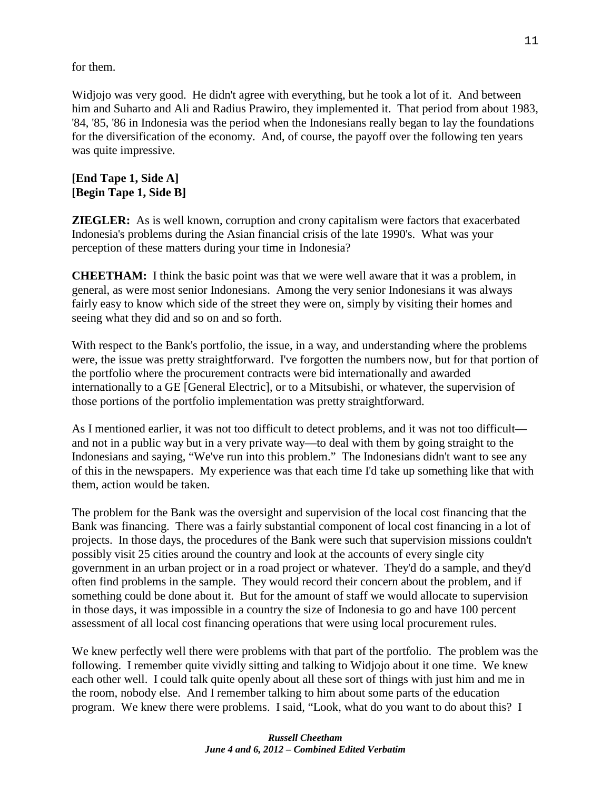for them.

Widjojo was very good. He didn't agree with everything, but he took a lot of it. And between him and Suharto and Ali and Radius Prawiro, they implemented it. That period from about 1983, '84, '85, '86 in Indonesia was the period when the Indonesians really began to lay the foundations for the diversification of the economy. And, of course, the payoff over the following ten years was quite impressive.

# **[End Tape 1, Side A] [Begin Tape 1, Side B]**

**ZIEGLER:** As is well known, corruption and crony capitalism were factors that exacerbated Indonesia's problems during the Asian financial crisis of the late 1990's. What was your perception of these matters during your time in Indonesia?

**CHEETHAM:** I think the basic point was that we were well aware that it was a problem, in general, as were most senior Indonesians. Among the very senior Indonesians it was always fairly easy to know which side of the street they were on, simply by visiting their homes and seeing what they did and so on and so forth.

With respect to the Bank's portfolio, the issue, in a way, and understanding where the problems were, the issue was pretty straightforward. I've forgotten the numbers now, but for that portion of the portfolio where the procurement contracts were bid internationally and awarded internationally to a GE [General Electric], or to a Mitsubishi, or whatever, the supervision of those portions of the portfolio implementation was pretty straightforward.

As I mentioned earlier, it was not too difficult to detect problems, and it was not too difficult and not in a public way but in a very private way—to deal with them by going straight to the Indonesians and saying, "We've run into this problem." The Indonesians didn't want to see any of this in the newspapers. My experience was that each time I'd take up something like that with them, action would be taken.

The problem for the Bank was the oversight and supervision of the local cost financing that the Bank was financing. There was a fairly substantial component of local cost financing in a lot of projects. In those days, the procedures of the Bank were such that supervision missions couldn't possibly visit 25 cities around the country and look at the accounts of every single city government in an urban project or in a road project or whatever. They'd do a sample, and they'd often find problems in the sample. They would record their concern about the problem, and if something could be done about it. But for the amount of staff we would allocate to supervision in those days, it was impossible in a country the size of Indonesia to go and have 100 percent assessment of all local cost financing operations that were using local procurement rules.

We knew perfectly well there were problems with that part of the portfolio. The problem was the following. I remember quite vividly sitting and talking to Widjojo about it one time. We knew each other well. I could talk quite openly about all these sort of things with just him and me in the room, nobody else. And I remember talking to him about some parts of the education program. We knew there were problems. I said, "Look, what do you want to do about this? I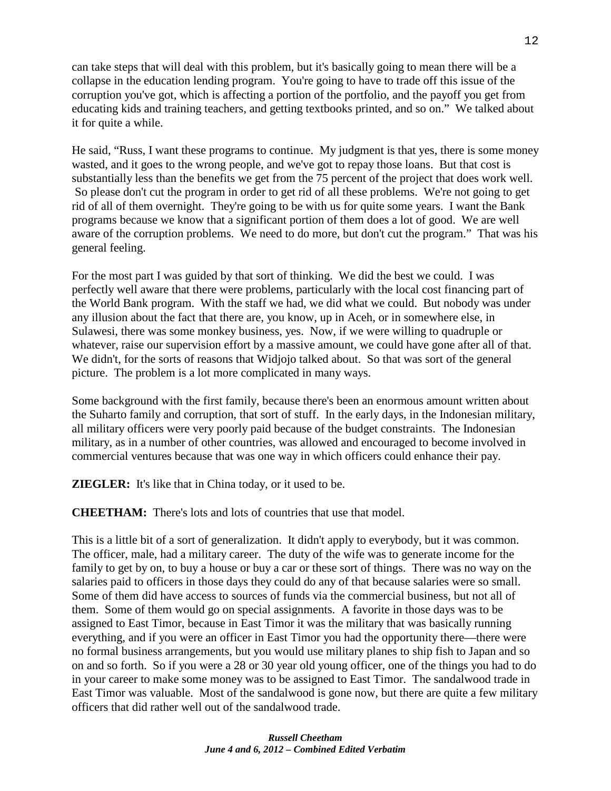can take steps that will deal with this problem, but it's basically going to mean there will be a collapse in the education lending program. You're going to have to trade off this issue of the corruption you've got, which is affecting a portion of the portfolio, and the payoff you get from educating kids and training teachers, and getting textbooks printed, and so on." We talked about it for quite a while.

He said, "Russ, I want these programs to continue. My judgment is that yes, there is some money wasted, and it goes to the wrong people, and we've got to repay those loans. But that cost is substantially less than the benefits we get from the 75 percent of the project that does work well. So please don't cut the program in order to get rid of all these problems. We're not going to get rid of all of them overnight. They're going to be with us for quite some years. I want the Bank programs because we know that a significant portion of them does a lot of good. We are well aware of the corruption problems. We need to do more, but don't cut the program." That was his general feeling.

For the most part I was guided by that sort of thinking. We did the best we could. I was perfectly well aware that there were problems, particularly with the local cost financing part of the World Bank program. With the staff we had, we did what we could. But nobody was under any illusion about the fact that there are, you know, up in Aceh, or in somewhere else, in Sulawesi, there was some monkey business, yes. Now, if we were willing to quadruple or whatever, raise our supervision effort by a massive amount, we could have gone after all of that. We didn't, for the sorts of reasons that Widjojo talked about. So that was sort of the general picture. The problem is a lot more complicated in many ways.

Some background with the first family, because there's been an enormous amount written about the Suharto family and corruption, that sort of stuff. In the early days, in the Indonesian military, all military officers were very poorly paid because of the budget constraints. The Indonesian military, as in a number of other countries, was allowed and encouraged to become involved in commercial ventures because that was one way in which officers could enhance their pay.

**ZIEGLER:** It's like that in China today, or it used to be.

**CHEETHAM:** There's lots and lots of countries that use that model.

This is a little bit of a sort of generalization. It didn't apply to everybody, but it was common. The officer, male, had a military career. The duty of the wife was to generate income for the family to get by on, to buy a house or buy a car or these sort of things. There was no way on the salaries paid to officers in those days they could do any of that because salaries were so small. Some of them did have access to sources of funds via the commercial business, but not all of them. Some of them would go on special assignments. A favorite in those days was to be assigned to East Timor, because in East Timor it was the military that was basically running everything, and if you were an officer in East Timor you had the opportunity there—there were no formal business arrangements, but you would use military planes to ship fish to Japan and so on and so forth. So if you were a 28 or 30 year old young officer, one of the things you had to do in your career to make some money was to be assigned to East Timor. The sandalwood trade in East Timor was valuable. Most of the sandalwood is gone now, but there are quite a few military officers that did rather well out of the sandalwood trade.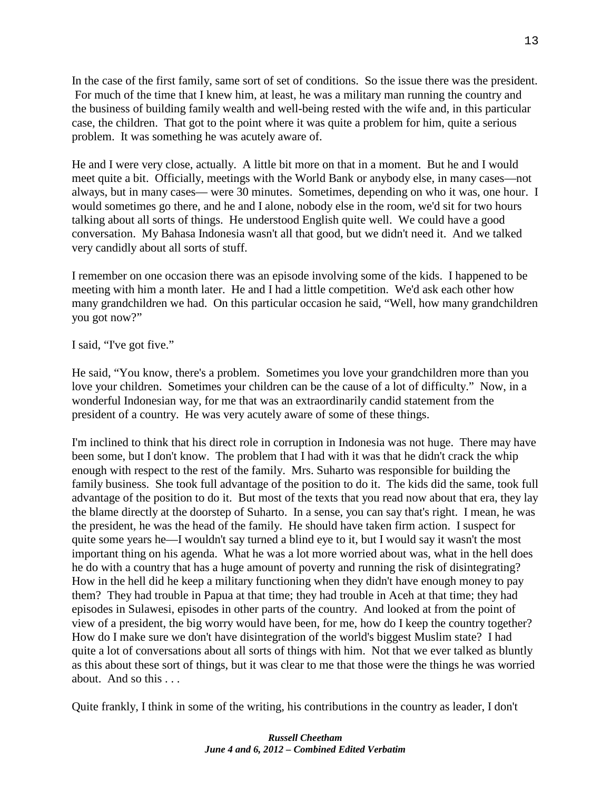In the case of the first family, same sort of set of conditions. So the issue there was the president. For much of the time that I knew him, at least, he was a military man running the country and the business of building family wealth and well-being rested with the wife and, in this particular case, the children. That got to the point where it was quite a problem for him, quite a serious problem. It was something he was acutely aware of.

He and I were very close, actually. A little bit more on that in a moment. But he and I would meet quite a bit. Officially, meetings with the World Bank or anybody else, in many cases—not always, but in many cases— were 30 minutes. Sometimes, depending on who it was, one hour. I would sometimes go there, and he and I alone, nobody else in the room, we'd sit for two hours talking about all sorts of things. He understood English quite well. We could have a good conversation. My Bahasa Indonesia wasn't all that good, but we didn't need it. And we talked very candidly about all sorts of stuff.

I remember on one occasion there was an episode involving some of the kids. I happened to be meeting with him a month later. He and I had a little competition. We'd ask each other how many grandchildren we had. On this particular occasion he said, "Well, how many grandchildren you got now?"

#### I said, "I've got five."

He said, "You know, there's a problem. Sometimes you love your grandchildren more than you love your children. Sometimes your children can be the cause of a lot of difficulty." Now, in a wonderful Indonesian way, for me that was an extraordinarily candid statement from the president of a country. He was very acutely aware of some of these things.

I'm inclined to think that his direct role in corruption in Indonesia was not huge. There may have been some, but I don't know. The problem that I had with it was that he didn't crack the whip enough with respect to the rest of the family. Mrs. Suharto was responsible for building the family business. She took full advantage of the position to do it. The kids did the same, took full advantage of the position to do it. But most of the texts that you read now about that era, they lay the blame directly at the doorstep of Suharto. In a sense, you can say that's right. I mean, he was the president, he was the head of the family. He should have taken firm action. I suspect for quite some years he—I wouldn't say turned a blind eye to it, but I would say it wasn't the most important thing on his agenda. What he was a lot more worried about was, what in the hell does he do with a country that has a huge amount of poverty and running the risk of disintegrating? How in the hell did he keep a military functioning when they didn't have enough money to pay them? They had trouble in Papua at that time; they had trouble in Aceh at that time; they had episodes in Sulawesi, episodes in other parts of the country. And looked at from the point of view of a president, the big worry would have been, for me, how do I keep the country together? How do I make sure we don't have disintegration of the world's biggest Muslim state? I had quite a lot of conversations about all sorts of things with him. Not that we ever talked as bluntly as this about these sort of things, but it was clear to me that those were the things he was worried about. And so this

Quite frankly, I think in some of the writing, his contributions in the country as leader, I don't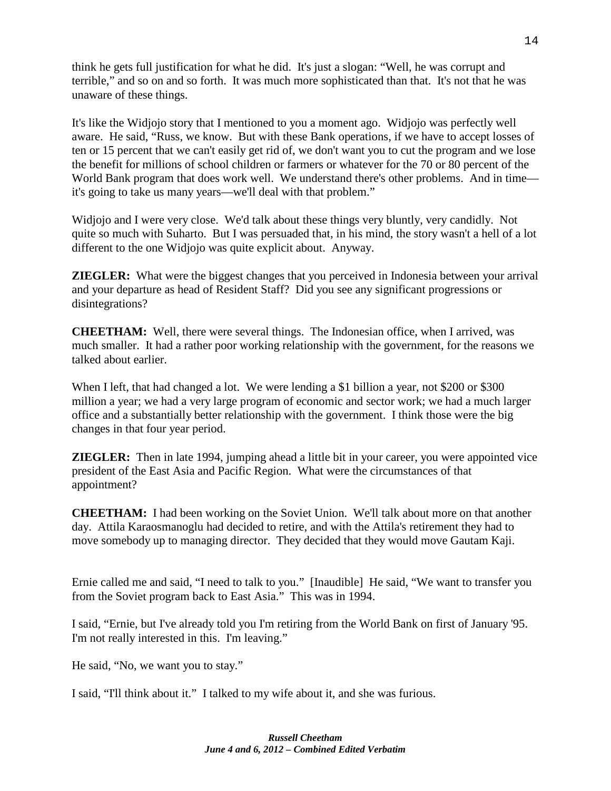think he gets full justification for what he did. It's just a slogan: "Well, he was corrupt and terrible," and so on and so forth. It was much more sophisticated than that. It's not that he was unaware of these things.

It's like the Widjojo story that I mentioned to you a moment ago. Widjojo was perfectly well aware. He said, "Russ, we know. But with these Bank operations, if we have to accept losses of ten or 15 percent that we can't easily get rid of, we don't want you to cut the program and we lose the benefit for millions of school children or farmers or whatever for the 70 or 80 percent of the World Bank program that does work well. We understand there's other problems. And in time it's going to take us many years—we'll deal with that problem."

Widjojo and I were very close. We'd talk about these things very bluntly, very candidly. Not quite so much with Suharto. But I was persuaded that, in his mind, the story wasn't a hell of a lot different to the one Widjojo was quite explicit about. Anyway.

**ZIEGLER:** What were the biggest changes that you perceived in Indonesia between your arrival and your departure as head of Resident Staff? Did you see any significant progressions or disintegrations?

**CHEETHAM:** Well, there were several things. The Indonesian office, when I arrived, was much smaller. It had a rather poor working relationship with the government, for the reasons we talked about earlier.

When I left, that had changed a lot. We were lending a \$1 billion a year, not \$200 or \$300 million a year; we had a very large program of economic and sector work; we had a much larger office and a substantially better relationship with the government. I think those were the big changes in that four year period.

**ZIEGLER:** Then in late 1994, jumping ahead a little bit in your career, you were appointed vice president of the East Asia and Pacific Region. What were the circumstances of that appointment?

**CHEETHAM:** I had been working on the Soviet Union. We'll talk about more on that another day. Attila Karaosmanoglu had decided to retire, and with the Attila's retirement they had to move somebody up to managing director. They decided that they would move Gautam Kaji.

Ernie called me and said, "I need to talk to you." [Inaudible] He said, "We want to transfer you from the Soviet program back to East Asia." This was in 1994.

I said, "Ernie, but I've already told you I'm retiring from the World Bank on first of January '95. I'm not really interested in this. I'm leaving."

He said, "No, we want you to stay."

I said, "I'll think about it." I talked to my wife about it, and she was furious.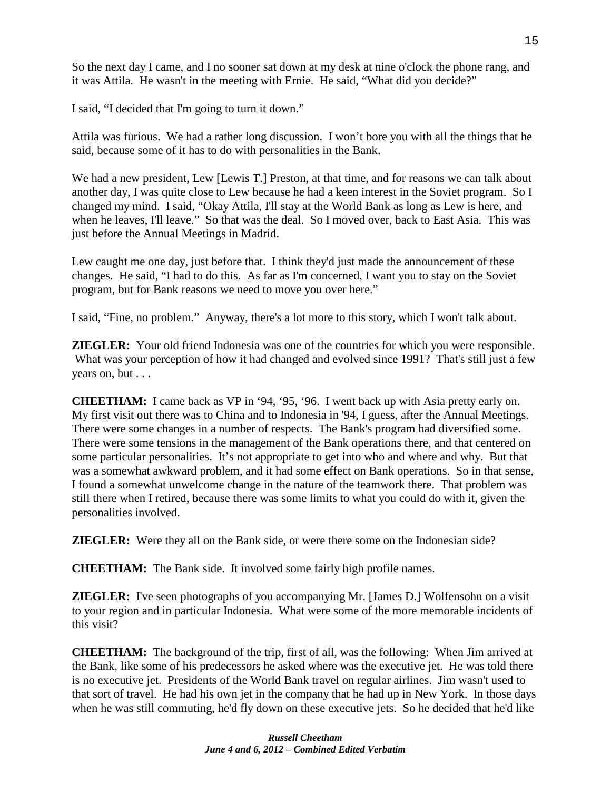So the next day I came, and I no sooner sat down at my desk at nine o'clock the phone rang, and it was Attila. He wasn't in the meeting with Ernie. He said, "What did you decide?"

I said, "I decided that I'm going to turn it down."

Attila was furious. We had a rather long discussion. I won't bore you with all the things that he said, because some of it has to do with personalities in the Bank.

We had a new president, Lew [Lewis T.] Preston, at that time, and for reasons we can talk about another day, I was quite close to Lew because he had a keen interest in the Soviet program. So I changed my mind. I said, "Okay Attila, I'll stay at the World Bank as long as Lew is here, and when he leaves, I'll leave." So that was the deal. So I moved over, back to East Asia. This was just before the Annual Meetings in Madrid.

Lew caught me one day, just before that. I think they'd just made the announcement of these changes. He said, "I had to do this. As far as I'm concerned, I want you to stay on the Soviet program, but for Bank reasons we need to move you over here."

I said, "Fine, no problem." Anyway, there's a lot more to this story, which I won't talk about.

**ZIEGLER:** Your old friend Indonesia was one of the countries for which you were responsible. What was your perception of how it had changed and evolved since 1991? That's still just a few years on, but . . .

**CHEETHAM:** I came back as VP in '94, '95, '96. I went back up with Asia pretty early on. My first visit out there was to China and to Indonesia in '94, I guess, after the Annual Meetings. There were some changes in a number of respects. The Bank's program had diversified some. There were some tensions in the management of the Bank operations there, and that centered on some particular personalities. It's not appropriate to get into who and where and why. But that was a somewhat awkward problem, and it had some effect on Bank operations. So in that sense, I found a somewhat unwelcome change in the nature of the teamwork there. That problem was still there when I retired, because there was some limits to what you could do with it, given the personalities involved.

**ZIEGLER:** Were they all on the Bank side, or were there some on the Indonesian side?

**CHEETHAM:** The Bank side. It involved some fairly high profile names.

**ZIEGLER:** I've seen photographs of you accompanying Mr. [James D.] Wolfensohn on a visit to your region and in particular Indonesia. What were some of the more memorable incidents of this visit?

**CHEETHAM:** The background of the trip, first of all, was the following: When Jim arrived at the Bank, like some of his predecessors he asked where was the executive jet. He was told there is no executive jet. Presidents of the World Bank travel on regular airlines. Jim wasn't used to that sort of travel. He had his own jet in the company that he had up in New York. In those days when he was still commuting, he'd fly down on these executive jets. So he decided that he'd like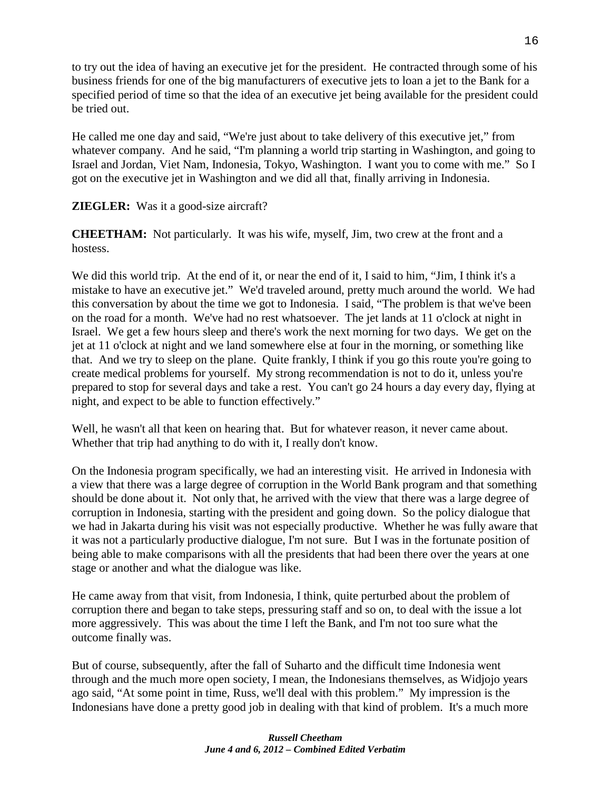to try out the idea of having an executive jet for the president. He contracted through some of his business friends for one of the big manufacturers of executive jets to loan a jet to the Bank for a specified period of time so that the idea of an executive jet being available for the president could be tried out.

He called me one day and said, "We're just about to take delivery of this executive jet," from whatever company. And he said, "I'm planning a world trip starting in Washington, and going to Israel and Jordan, Viet Nam, Indonesia, Tokyo, Washington. I want you to come with me." So I got on the executive jet in Washington and we did all that, finally arriving in Indonesia.

# **ZIEGLER:** Was it a good-size aircraft?

**CHEETHAM:** Not particularly. It was his wife, myself, Jim, two crew at the front and a hostess.

We did this world trip. At the end of it, or near the end of it, I said to him, "Jim, I think it's a mistake to have an executive jet." We'd traveled around, pretty much around the world. We had this conversation by about the time we got to Indonesia. I said, "The problem is that we've been on the road for a month. We've had no rest whatsoever. The jet lands at 11 o'clock at night in Israel. We get a few hours sleep and there's work the next morning for two days. We get on the jet at 11 o'clock at night and we land somewhere else at four in the morning, or something like that. And we try to sleep on the plane. Quite frankly, I think if you go this route you're going to create medical problems for yourself. My strong recommendation is not to do it, unless you're prepared to stop for several days and take a rest. You can't go 24 hours a day every day, flying at night, and expect to be able to function effectively."

Well, he wasn't all that keen on hearing that. But for whatever reason, it never came about. Whether that trip had anything to do with it, I really don't know.

On the Indonesia program specifically, we had an interesting visit. He arrived in Indonesia with a view that there was a large degree of corruption in the World Bank program and that something should be done about it. Not only that, he arrived with the view that there was a large degree of corruption in Indonesia, starting with the president and going down. So the policy dialogue that we had in Jakarta during his visit was not especially productive. Whether he was fully aware that it was not a particularly productive dialogue, I'm not sure. But I was in the fortunate position of being able to make comparisons with all the presidents that had been there over the years at one stage or another and what the dialogue was like.

He came away from that visit, from Indonesia, I think, quite perturbed about the problem of corruption there and began to take steps, pressuring staff and so on, to deal with the issue a lot more aggressively. This was about the time I left the Bank, and I'm not too sure what the outcome finally was.

But of course, subsequently, after the fall of Suharto and the difficult time Indonesia went through and the much more open society, I mean, the Indonesians themselves, as Widjojo years ago said, "At some point in time, Russ, we'll deal with this problem." My impression is the Indonesians have done a pretty good job in dealing with that kind of problem. It's a much more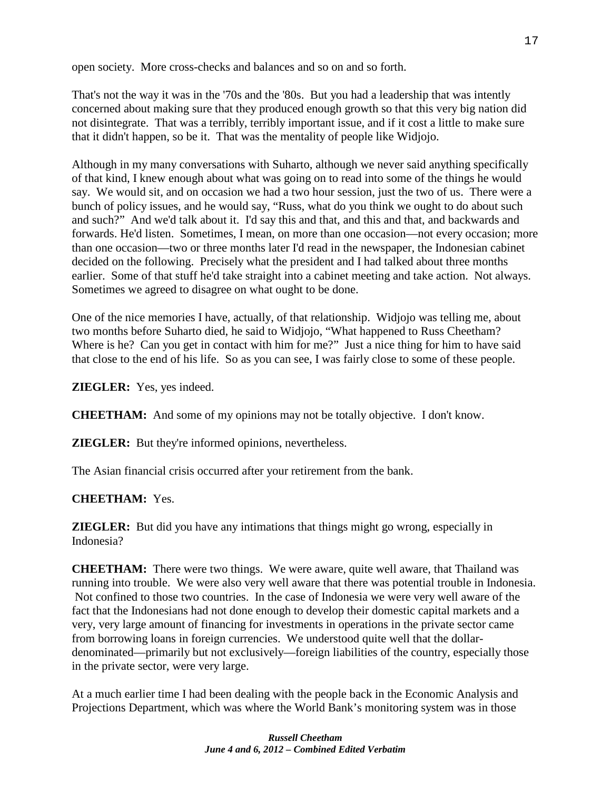open society. More cross-checks and balances and so on and so forth.

That's not the way it was in the '70s and the '80s. But you had a leadership that was intently concerned about making sure that they produced enough growth so that this very big nation did not disintegrate. That was a terribly, terribly important issue, and if it cost a little to make sure that it didn't happen, so be it. That was the mentality of people like Widjojo.

Although in my many conversations with Suharto, although we never said anything specifically of that kind, I knew enough about what was going on to read into some of the things he would say. We would sit, and on occasion we had a two hour session, just the two of us. There were a bunch of policy issues, and he would say, "Russ, what do you think we ought to do about such and such?" And we'd talk about it. I'd say this and that, and this and that, and backwards and forwards. He'd listen. Sometimes, I mean, on more than one occasion—not every occasion; more than one occasion—two or three months later I'd read in the newspaper, the Indonesian cabinet decided on the following. Precisely what the president and I had talked about three months earlier. Some of that stuff he'd take straight into a cabinet meeting and take action. Not always. Sometimes we agreed to disagree on what ought to be done.

One of the nice memories I have, actually, of that relationship. Widjojo was telling me, about two months before Suharto died, he said to Widjojo, "What happened to Russ Cheetham? Where is he? Can you get in contact with him for me?" Just a nice thing for him to have said that close to the end of his life. So as you can see, I was fairly close to some of these people.

**ZIEGLER:** Yes, yes indeed.

**CHEETHAM:** And some of my opinions may not be totally objective. I don't know.

**ZIEGLER:** But they're informed opinions, nevertheless.

The Asian financial crisis occurred after your retirement from the bank.

# **CHEETHAM:** Yes.

**ZIEGLER:** But did you have any intimations that things might go wrong, especially in Indonesia?

**CHEETHAM:** There were two things. We were aware, quite well aware, that Thailand was running into trouble. We were also very well aware that there was potential trouble in Indonesia. Not confined to those two countries. In the case of Indonesia we were very well aware of the fact that the Indonesians had not done enough to develop their domestic capital markets and a very, very large amount of financing for investments in operations in the private sector came from borrowing loans in foreign currencies. We understood quite well that the dollardenominated—primarily but not exclusively—foreign liabilities of the country, especially those in the private sector, were very large.

At a much earlier time I had been dealing with the people back in the Economic Analysis and Projections Department, which was where the World Bank's monitoring system was in those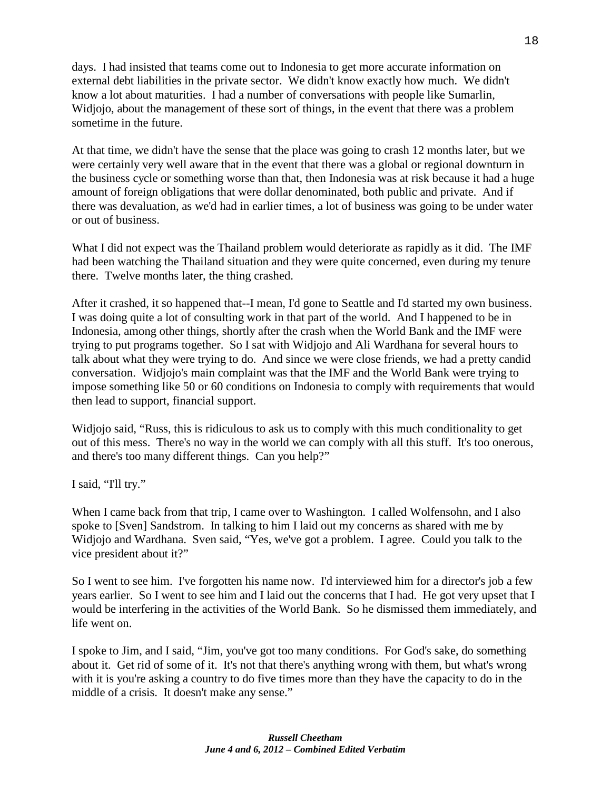days. I had insisted that teams come out to Indonesia to get more accurate information on external debt liabilities in the private sector. We didn't know exactly how much. We didn't know a lot about maturities. I had a number of conversations with people like Sumarlin, Widjojo, about the management of these sort of things, in the event that there was a problem sometime in the future.

At that time, we didn't have the sense that the place was going to crash 12 months later, but we were certainly very well aware that in the event that there was a global or regional downturn in the business cycle or something worse than that, then Indonesia was at risk because it had a huge amount of foreign obligations that were dollar denominated, both public and private. And if there was devaluation, as we'd had in earlier times, a lot of business was going to be under water or out of business.

What I did not expect was the Thailand problem would deteriorate as rapidly as it did. The IMF had been watching the Thailand situation and they were quite concerned, even during my tenure there. Twelve months later, the thing crashed.

After it crashed, it so happened that--I mean, I'd gone to Seattle and I'd started my own business. I was doing quite a lot of consulting work in that part of the world. And I happened to be in Indonesia, among other things, shortly after the crash when the World Bank and the IMF were trying to put programs together. So I sat with Widjojo and Ali Wardhana for several hours to talk about what they were trying to do. And since we were close friends, we had a pretty candid conversation. Widjojo's main complaint was that the IMF and the World Bank were trying to impose something like 50 or 60 conditions on Indonesia to comply with requirements that would then lead to support, financial support.

Widjojo said, "Russ, this is ridiculous to ask us to comply with this much conditionality to get out of this mess. There's no way in the world we can comply with all this stuff. It's too onerous, and there's too many different things. Can you help?"

I said, "I'll try."

When I came back from that trip, I came over to Washington. I called Wolfensohn, and I also spoke to [Sven] Sandstrom. In talking to him I laid out my concerns as shared with me by Widjojo and Wardhana. Sven said, "Yes, we've got a problem. I agree. Could you talk to the vice president about it?"

So I went to see him. I've forgotten his name now. I'd interviewed him for a director's job a few years earlier. So I went to see him and I laid out the concerns that I had. He got very upset that I would be interfering in the activities of the World Bank. So he dismissed them immediately, and life went on.

I spoke to Jim, and I said, "Jim, you've got too many conditions. For God's sake, do something about it. Get rid of some of it. It's not that there's anything wrong with them, but what's wrong with it is you're asking a country to do five times more than they have the capacity to do in the middle of a crisis. It doesn't make any sense."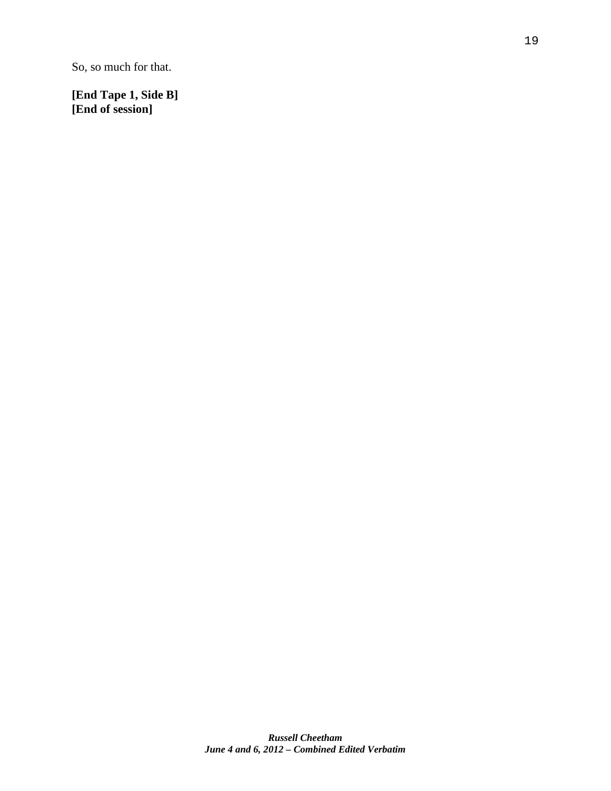So, so much for that.

**[End Tape 1, Side B] [End of session]**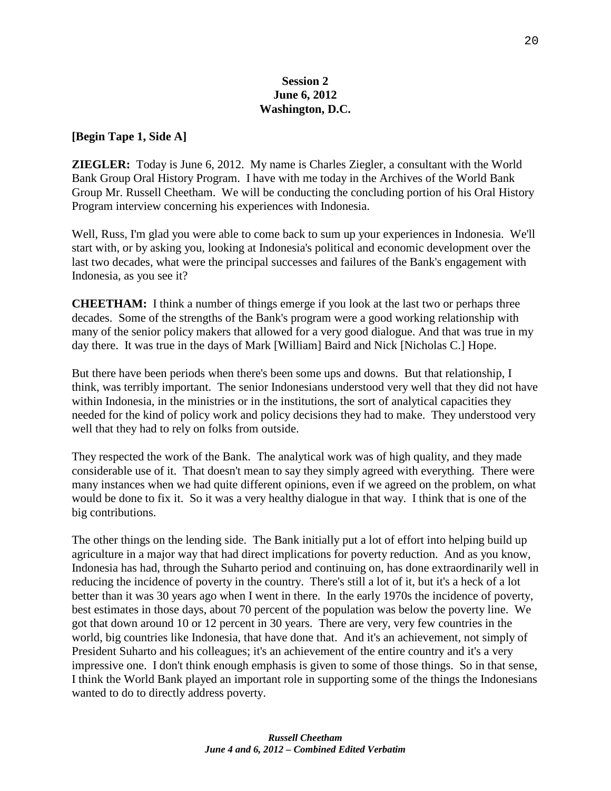## **Session 2 June 6, 2012 Washington, D.C.**

#### **[Begin Tape 1, Side A]**

**ZIEGLER:** Today is June 6, 2012. My name is Charles Ziegler, a consultant with the World Bank Group Oral History Program. I have with me today in the Archives of the World Bank Group Mr. Russell Cheetham. We will be conducting the concluding portion of his Oral History Program interview concerning his experiences with Indonesia.

Well, Russ, I'm glad you were able to come back to sum up your experiences in Indonesia. We'll start with, or by asking you, looking at Indonesia's political and economic development over the last two decades, what were the principal successes and failures of the Bank's engagement with Indonesia, as you see it?

**CHEETHAM:** I think a number of things emerge if you look at the last two or perhaps three decades. Some of the strengths of the Bank's program were a good working relationship with many of the senior policy makers that allowed for a very good dialogue. And that was true in my day there. It was true in the days of Mark [William] Baird and Nick [Nicholas C.] Hope.

But there have been periods when there's been some ups and downs. But that relationship, I think, was terribly important. The senior Indonesians understood very well that they did not have within Indonesia, in the ministries or in the institutions, the sort of analytical capacities they needed for the kind of policy work and policy decisions they had to make. They understood very well that they had to rely on folks from outside.

They respected the work of the Bank. The analytical work was of high quality, and they made considerable use of it. That doesn't mean to say they simply agreed with everything. There were many instances when we had quite different opinions, even if we agreed on the problem, on what would be done to fix it. So it was a very healthy dialogue in that way. I think that is one of the big contributions.

The other things on the lending side. The Bank initially put a lot of effort into helping build up agriculture in a major way that had direct implications for poverty reduction. And as you know, Indonesia has had, through the Suharto period and continuing on, has done extraordinarily well in reducing the incidence of poverty in the country. There's still a lot of it, but it's a heck of a lot better than it was 30 years ago when I went in there. In the early 1970s the incidence of poverty, best estimates in those days, about 70 percent of the population was below the poverty line. We got that down around 10 or 12 percent in 30 years. There are very, very few countries in the world, big countries like Indonesia, that have done that. And it's an achievement, not simply of President Suharto and his colleagues; it's an achievement of the entire country and it's a very impressive one. I don't think enough emphasis is given to some of those things. So in that sense, I think the World Bank played an important role in supporting some of the things the Indonesians wanted to do to directly address poverty.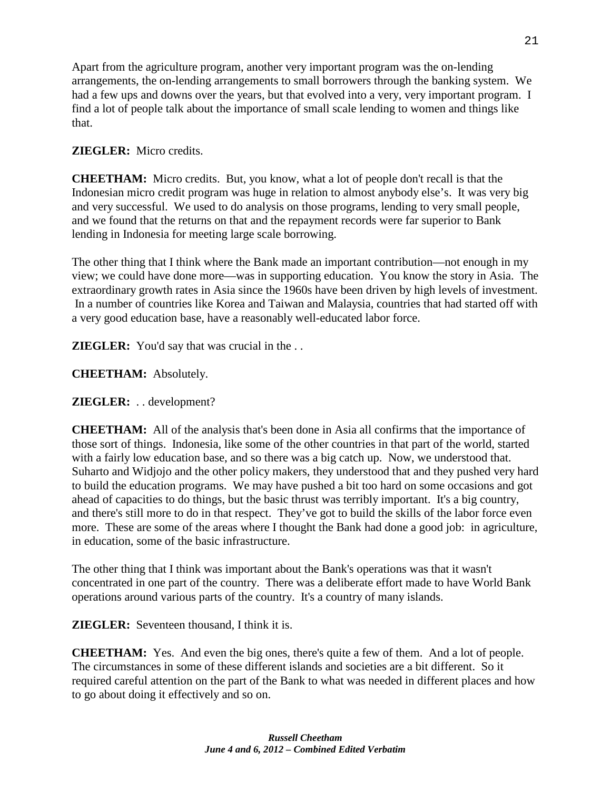Apart from the agriculture program, another very important program was the on-lending arrangements, the on-lending arrangements to small borrowers through the banking system. We had a few ups and downs over the years, but that evolved into a very, very important program. I find a lot of people talk about the importance of small scale lending to women and things like that.

# **ZIEGLER:** Micro credits.

**CHEETHAM:** Micro credits. But, you know, what a lot of people don't recall is that the Indonesian micro credit program was huge in relation to almost anybody else's. It was very big and very successful. We used to do analysis on those programs, lending to very small people, and we found that the returns on that and the repayment records were far superior to Bank lending in Indonesia for meeting large scale borrowing.

The other thing that I think where the Bank made an important contribution—not enough in my view; we could have done more—was in supporting education. You know the story in Asia. The extraordinary growth rates in Asia since the 1960s have been driven by high levels of investment. In a number of countries like Korea and Taiwan and Malaysia, countries that had started off with a very good education base, have a reasonably well-educated labor force.

**ZIEGLER:** You'd say that was crucial in the . .

**CHEETHAM:** Absolutely.

**ZIEGLER:** . . development?

**CHEETHAM:** All of the analysis that's been done in Asia all confirms that the importance of those sort of things. Indonesia, like some of the other countries in that part of the world, started with a fairly low education base, and so there was a big catch up. Now, we understood that. Suharto and Widjojo and the other policy makers, they understood that and they pushed very hard to build the education programs. We may have pushed a bit too hard on some occasions and got ahead of capacities to do things, but the basic thrust was terribly important. It's a big country, and there's still more to do in that respect. They've got to build the skills of the labor force even more. These are some of the areas where I thought the Bank had done a good job: in agriculture, in education, some of the basic infrastructure.

The other thing that I think was important about the Bank's operations was that it wasn't concentrated in one part of the country. There was a deliberate effort made to have World Bank operations around various parts of the country. It's a country of many islands.

**ZIEGLER:** Seventeen thousand, I think it is.

**CHEETHAM:** Yes. And even the big ones, there's quite a few of them. And a lot of people. The circumstances in some of these different islands and societies are a bit different. So it required careful attention on the part of the Bank to what was needed in different places and how to go about doing it effectively and so on.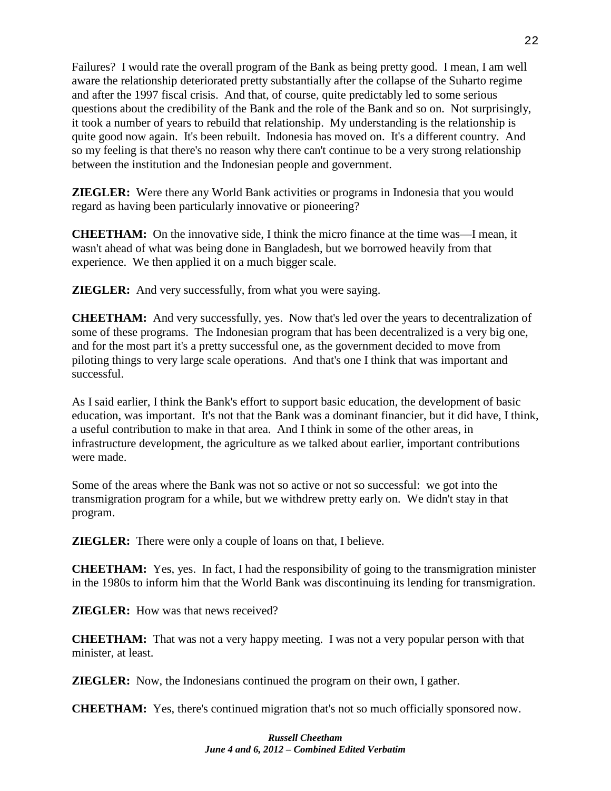Failures? I would rate the overall program of the Bank as being pretty good. I mean, I am well aware the relationship deteriorated pretty substantially after the collapse of the Suharto regime and after the 1997 fiscal crisis. And that, of course, quite predictably led to some serious questions about the credibility of the Bank and the role of the Bank and so on. Not surprisingly, it took a number of years to rebuild that relationship. My understanding is the relationship is quite good now again. It's been rebuilt. Indonesia has moved on. It's a different country. And so my feeling is that there's no reason why there can't continue to be a very strong relationship between the institution and the Indonesian people and government.

**ZIEGLER:** Were there any World Bank activities or programs in Indonesia that you would regard as having been particularly innovative or pioneering?

**CHEETHAM:** On the innovative side, I think the micro finance at the time was—I mean, it wasn't ahead of what was being done in Bangladesh, but we borrowed heavily from that experience. We then applied it on a much bigger scale.

**ZIEGLER:** And very successfully, from what you were saying.

**CHEETHAM:** And very successfully, yes. Now that's led over the years to decentralization of some of these programs. The Indonesian program that has been decentralized is a very big one, and for the most part it's a pretty successful one, as the government decided to move from piloting things to very large scale operations. And that's one I think that was important and successful.

As I said earlier, I think the Bank's effort to support basic education, the development of basic education, was important. It's not that the Bank was a dominant financier, but it did have, I think, a useful contribution to make in that area. And I think in some of the other areas, in infrastructure development, the agriculture as we talked about earlier, important contributions were made.

Some of the areas where the Bank was not so active or not so successful: we got into the transmigration program for a while, but we withdrew pretty early on. We didn't stay in that program.

**ZIEGLER:** There were only a couple of loans on that, I believe.

**CHEETHAM:** Yes, yes. In fact, I had the responsibility of going to the transmigration minister in the 1980s to inform him that the World Bank was discontinuing its lending for transmigration.

**ZIEGLER:** How was that news received?

**CHEETHAM:** That was not a very happy meeting. I was not a very popular person with that minister, at least.

**ZIEGLER:** Now, the Indonesians continued the program on their own, I gather.

**CHEETHAM:** Yes, there's continued migration that's not so much officially sponsored now.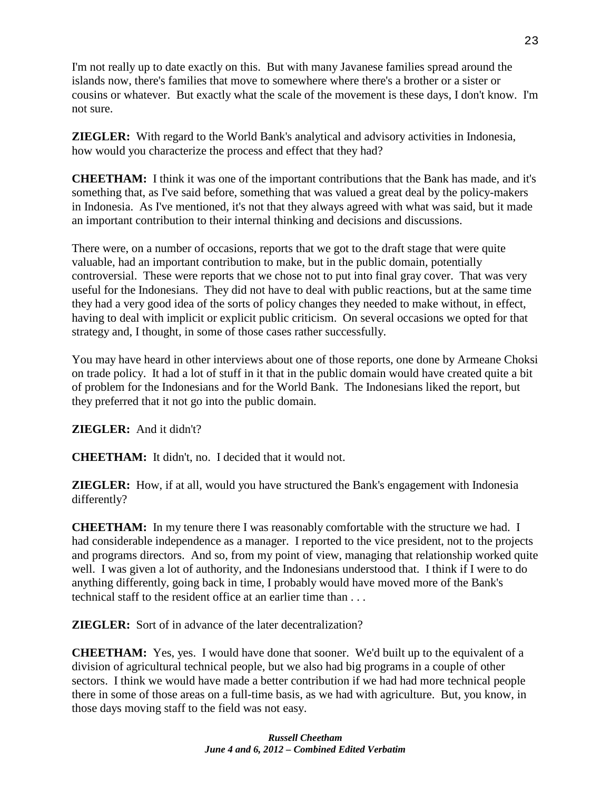I'm not really up to date exactly on this. But with many Javanese families spread around the islands now, there's families that move to somewhere where there's a brother or a sister or cousins or whatever. But exactly what the scale of the movement is these days, I don't know. I'm not sure.

**ZIEGLER:** With regard to the World Bank's analytical and advisory activities in Indonesia, how would you characterize the process and effect that they had?

**CHEETHAM:** I think it was one of the important contributions that the Bank has made, and it's something that, as I've said before, something that was valued a great deal by the policy-makers in Indonesia. As I've mentioned, it's not that they always agreed with what was said, but it made an important contribution to their internal thinking and decisions and discussions.

There were, on a number of occasions, reports that we got to the draft stage that were quite valuable, had an important contribution to make, but in the public domain, potentially controversial. These were reports that we chose not to put into final gray cover. That was very useful for the Indonesians. They did not have to deal with public reactions, but at the same time they had a very good idea of the sorts of policy changes they needed to make without, in effect, having to deal with implicit or explicit public criticism. On several occasions we opted for that strategy and, I thought, in some of those cases rather successfully.

You may have heard in other interviews about one of those reports, one done by Armeane Choksi on trade policy. It had a lot of stuff in it that in the public domain would have created quite a bit of problem for the Indonesians and for the World Bank. The Indonesians liked the report, but they preferred that it not go into the public domain.

**ZIEGLER:** And it didn't?

**CHEETHAM:** It didn't, no. I decided that it would not.

**ZIEGLER:** How, if at all, would you have structured the Bank's engagement with Indonesia differently?

**CHEETHAM:** In my tenure there I was reasonably comfortable with the structure we had. I had considerable independence as a manager. I reported to the vice president, not to the projects and programs directors. And so, from my point of view, managing that relationship worked quite well. I was given a lot of authority, and the Indonesians understood that. I think if I were to do anything differently, going back in time, I probably would have moved more of the Bank's technical staff to the resident office at an earlier time than . . .

**ZIEGLER:** Sort of in advance of the later decentralization?

**CHEETHAM:** Yes, yes. I would have done that sooner. We'd built up to the equivalent of a division of agricultural technical people, but we also had big programs in a couple of other sectors. I think we would have made a better contribution if we had had more technical people there in some of those areas on a full-time basis, as we had with agriculture. But, you know, in those days moving staff to the field was not easy.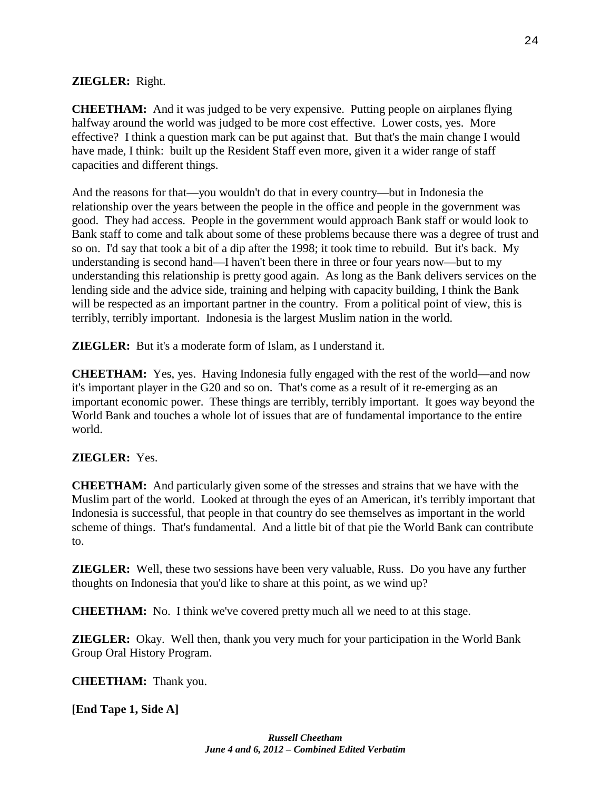# **ZIEGLER:** Right.

**CHEETHAM:** And it was judged to be very expensive. Putting people on airplanes flying halfway around the world was judged to be more cost effective. Lower costs, yes. More effective? I think a question mark can be put against that. But that's the main change I would have made, I think: built up the Resident Staff even more, given it a wider range of staff capacities and different things.

And the reasons for that—you wouldn't do that in every country—but in Indonesia the relationship over the years between the people in the office and people in the government was good. They had access. People in the government would approach Bank staff or would look to Bank staff to come and talk about some of these problems because there was a degree of trust and so on. I'd say that took a bit of a dip after the 1998; it took time to rebuild. But it's back. My understanding is second hand—I haven't been there in three or four years now—but to my understanding this relationship is pretty good again. As long as the Bank delivers services on the lending side and the advice side, training and helping with capacity building, I think the Bank will be respected as an important partner in the country. From a political point of view, this is terribly, terribly important. Indonesia is the largest Muslim nation in the world.

**ZIEGLER:** But it's a moderate form of Islam, as I understand it.

**CHEETHAM:** Yes, yes. Having Indonesia fully engaged with the rest of the world—and now it's important player in the G20 and so on. That's come as a result of it re-emerging as an important economic power. These things are terribly, terribly important. It goes way beyond the World Bank and touches a whole lot of issues that are of fundamental importance to the entire world.

## **ZIEGLER:** Yes.

**CHEETHAM:** And particularly given some of the stresses and strains that we have with the Muslim part of the world. Looked at through the eyes of an American, it's terribly important that Indonesia is successful, that people in that country do see themselves as important in the world scheme of things. That's fundamental. And a little bit of that pie the World Bank can contribute to.

**ZIEGLER:** Well, these two sessions have been very valuable, Russ. Do you have any further thoughts on Indonesia that you'd like to share at this point, as we wind up?

**CHEETHAM:** No. I think we've covered pretty much all we need to at this stage.

**ZIEGLER:** Okay. Well then, thank you very much for your participation in the World Bank Group Oral History Program.

**CHEETHAM:** Thank you.

**[End Tape 1, Side A]**